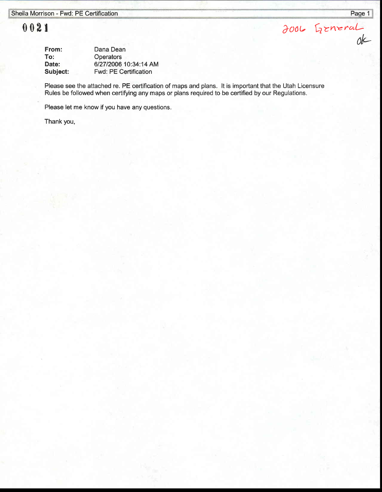## $0021$   $3006$   $5$ zneral

| From:    | Dana Dean                    |
|----------|------------------------------|
| To:      | <b>Operators</b>             |
| Date:    | 6/27/2006 10:34:14 AM        |
| Subject: | <b>Fwd: PE Certification</b> |

Please see the attached re. PE certification of maps and plans. lt is important that the Utah Licensure Rules be followed when certifying any maps or plans required to be certified by our Regulations.

Please let me know if you have any questions.

Thank you,

ak-